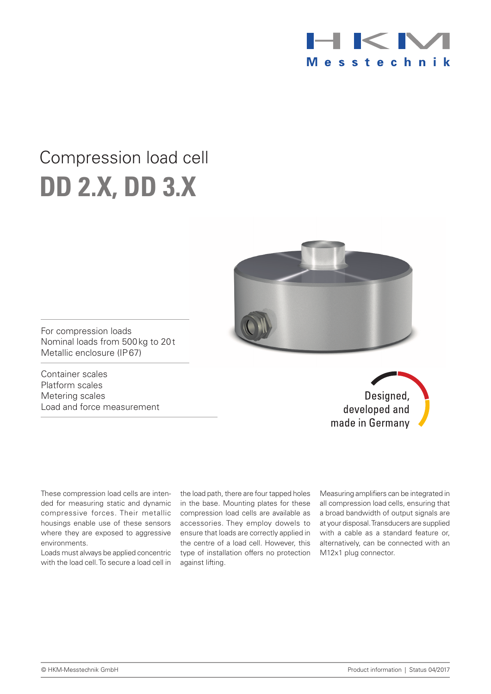

# Compression load cell **DD 2.x, DD 3.x**



For compression loads Nominal loads from 500kg to 20t Metallic enclosure (IP67)

Container scales Platform scales Metering scales Load and force measurement

Designed, developed and made in Germany

These compression load cells are intended for measuring static and dynamic compressive forces. Their metallic housings enable use of these sensors where they are exposed to aggressive environments.

Loads must always be applied concentric with the load cell. To secure a load cell in the load path, there are four tapped holes in the base. Mounting plates for these compression load cells are available as accessories. They employ dowels to ensure that loads are correctly applied in the centre of a load cell. However, this type of installation offers no protection against lifting.

Measuring amplifiers can be integrated in all compression load cells, ensuring that a broad bandwidth of output signals are at your disposal. Transducers are supplied with a cable as a standard feature or, alternatively, can be connected with an M12x1 plug connector.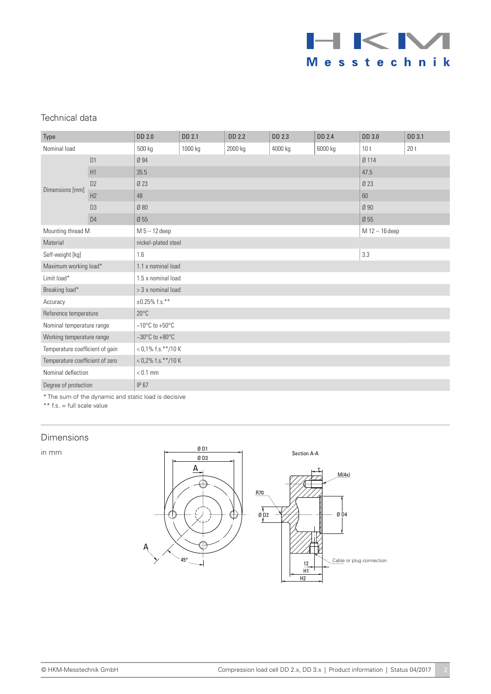

## Technical data

| Type                            |                | <b>DD 2.0</b>                       | DD 2.1  | DD 2.2         | DD 2.3  | DD 2.4  | <b>DD 3.0</b>   | DD 3.1          |  |  |
|---------------------------------|----------------|-------------------------------------|---------|----------------|---------|---------|-----------------|-----------------|--|--|
| Nominal load                    |                | 500 kg                              | 1000 kg | 2000 kg        | 4000 kg | 6000 kg | 10 <sub>t</sub> | 20 <sub>t</sub> |  |  |
| Dimensions [mm]                 | D1             | Ø 94                                |         |                |         |         | Ø 114           |                 |  |  |
|                                 | H1             | 35.5                                |         |                |         |         | 47.5            |                 |  |  |
|                                 | D2             | Ø 23                                |         |                |         |         | Ø 23            |                 |  |  |
|                                 | H <sub>2</sub> | 48                                  |         | 60             |         |         |                 |                 |  |  |
|                                 | D <sub>3</sub> | Ø 80                                |         | Ø 90           |         |         |                 |                 |  |  |
|                                 | D <sub>4</sub> | Ø 55                                |         | Ø 55           |         |         |                 |                 |  |  |
| Mounting thread M               |                | $M 5 - 12$ deep                     |         | M 12 - 16 deep |         |         |                 |                 |  |  |
| Material                        |                | nickel-plated steel                 |         |                |         |         |                 |                 |  |  |
| Self-weight [kg]                |                | 1.6                                 |         | 3.3            |         |         |                 |                 |  |  |
| Maximum working load*           |                | 1.1 x nominal load                  |         |                |         |         |                 |                 |  |  |
| Limit load*                     |                | 1.5 x nominal load                  |         |                |         |         |                 |                 |  |  |
| Breaking load*                  |                | $>$ 3 x nominal load                |         |                |         |         |                 |                 |  |  |
| Accuracy                        |                | $\pm 0.25\%$ f.s.**                 |         |                |         |         |                 |                 |  |  |
| Reference temperature           |                | $20^{\circ}$ C                      |         |                |         |         |                 |                 |  |  |
| Nominal temperature range       |                | $-10^{\circ}$ C to +50 $^{\circ}$ C |         |                |         |         |                 |                 |  |  |
| Working temperature range       |                | $-30^{\circ}$ C to $+80^{\circ}$ C  |         |                |         |         |                 |                 |  |  |
| Temperature coefficient of gain |                | $<$ 0,1% f.s.**/10 K                |         |                |         |         |                 |                 |  |  |
| Temperature coefficient of zero |                | $<$ 0,2% f.s.**/10 K                |         |                |         |         |                 |                 |  |  |
| Nominal deflection              |                | $< 0.1$ mm                          |         |                |         |         |                 |                 |  |  |
| Degree of protection            |                | IP 67                               |         |                |         |         |                 |                 |  |  |

\* The sum of the dynamic and static load is decisive

\*\* f.s. = full scale value

#### Dimensions

in mm

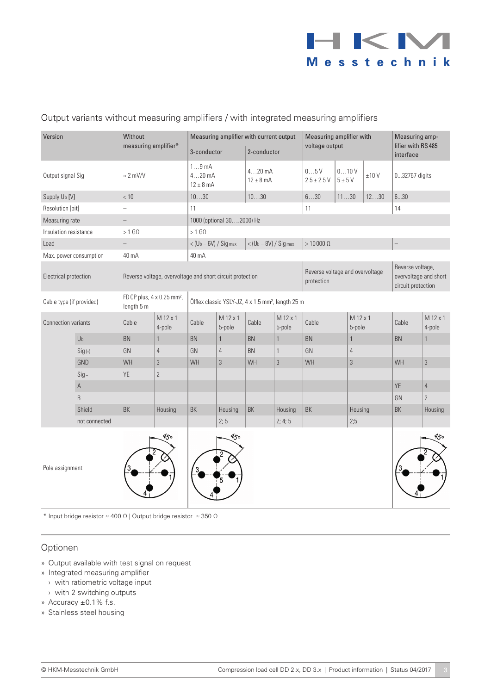

## Output variants without measuring amplifiers / with integrated measuring amplifiers

| Version                    |                | Without<br>measuring amplifier*                                                                                       |                    | Measuring amplifier with current output<br>3-conductor    |                    | 2-conductor                         |                    | Measuring amplifier with<br>voltage output    |                    |            | Measuring amp-<br>lifier with RS 485<br>interface               |                    |
|----------------------------|----------------|-----------------------------------------------------------------------------------------------------------------------|--------------------|-----------------------------------------------------------|--------------------|-------------------------------------|--------------------|-----------------------------------------------|--------------------|------------|-----------------------------------------------------------------|--------------------|
| Output signal Sig          |                | $\approx$ 2 mV/V                                                                                                      |                    | 19mA<br>$420$ mA<br>$12 \pm 8$ mA                         |                    | $420$ mA<br>$12 \pm 8$ mA           |                    | 05V<br>$2.5 \pm 2.5 V$                        | 010V<br>$5\pm5$ V  | $\pm 10$ V | 032767 digits                                                   |                    |
| Supply Ub [V]              |                | < 10                                                                                                                  |                    | 1030                                                      |                    | 1030                                |                    | 630                                           | 1130               | 1230       | 630                                                             |                    |
| Resolution [bit]           |                | $\overline{\phantom{0}}$                                                                                              |                    | 11                                                        |                    |                                     |                    | 11                                            |                    | 14         |                                                                 |                    |
| Measuring rate             |                | $\overline{\phantom{0}}$                                                                                              |                    | 1000 (optional 302000) Hz                                 |                    |                                     |                    |                                               |                    |            |                                                                 |                    |
| Insulation resistance      |                | $>1$ G $\Omega$                                                                                                       |                    | $>1$ G $\Omega$                                           |                    |                                     |                    |                                               |                    |            |                                                                 |                    |
| Load                       |                | $\overline{a}$                                                                                                        |                    | $<$ (U <sub>b</sub> – 6V) / Sig max                       |                    | $<$ (U <sub>b</sub> - 8V) / Sig max |                    | $>10000 \Omega$                               |                    |            |                                                                 |                    |
| Max. power consumption     |                | 40 mA                                                                                                                 | 40 mA              |                                                           |                    |                                     |                    |                                               |                    |            |                                                                 |                    |
| Electrical protection      |                |                                                                                                                       |                    | Reverse voltage, overvoltage and short circuit protection |                    |                                     |                    | Reverse voltage and overvoltage<br>protection |                    |            | Reverse voltage,<br>overvoltage and short<br>circuit protection |                    |
| Cable type (if provided)   |                | FD CP plus, 4 x 0.25 mm <sup>2</sup> ,<br>Ölflex classic YSLY-JZ, 4 x 1.5 mm <sup>2</sup> , length 25 m<br>length 5 m |                    |                                                           |                    |                                     |                    |                                               |                    |            |                                                                 |                    |
| <b>Connection variants</b> |                | Cable                                                                                                                 | M 12 x 1<br>4-pole | Cable                                                     | M 12 x 1<br>5-pole | Cable                               | M 12 x 1<br>5-pole | Cable                                         | M 12 x 1<br>5-pole |            | Cable                                                           | M 12 x 1<br>4-pole |
|                            | U <sub>b</sub> | BN                                                                                                                    | $\mathbf{1}$       | BN                                                        | $\mathbf{1}$       | BN                                  | $\mathbf{1}$       | <b>BN</b>                                     | $\mathbf{1}$       |            | BN                                                              | $\mathbf{1}$       |
|                            | $Sig(+)$       | GN                                                                                                                    | $\overline{4}$     | GN                                                        | $\overline{4}$     | <b>BN</b>                           | $\mathbf{1}$       | GN                                            | $\overline{4}$     |            |                                                                 |                    |
|                            | GND            | WH                                                                                                                    | $\overline{3}$     | WH                                                        | $\sqrt{3}$         | WH                                  | $\sqrt{3}$         | WH                                            | $\overline{3}$     |            | WH                                                              | $\overline{3}$     |
|                            | $Sig -$        | YE                                                                                                                    | $\overline{2}$     |                                                           |                    |                                     |                    |                                               |                    |            |                                                                 |                    |
|                            | $\mathsf A$    |                                                                                                                       |                    |                                                           |                    |                                     |                    |                                               |                    |            | YE                                                              | $\overline{4}$     |
|                            | B              |                                                                                                                       |                    |                                                           |                    |                                     |                    |                                               |                    |            | GN                                                              | $\overline{2}$     |
|                            | Shield         | BK                                                                                                                    | Housing            | BK                                                        | Housing            | <b>BK</b>                           | Housing            | <b>BK</b>                                     | Housing            |            | BK                                                              | Housing            |
|                            | not connected  |                                                                                                                       |                    |                                                           | 2; 5               |                                     | 2; 4; 5            |                                               | 2:5                |            |                                                                 |                    |
| Pole assignment            |                |                                                                                                                       | 450                |                                                           | 450                |                                     |                    |                                               |                    |            |                                                                 | 450                |

\* Input bridge resistor  $\approx 400 \ \Omega$  | Output bridge resistor  $\approx 350 \ \Omega$ 

#### Optionen

- » Output available with test signal on request
- » Integrated measuring amplifier
	- › with ratiometric voltage input
- › with 2 switching outputs
- » Accuracy ±0.1% f.s.
- » Stainless steel housing